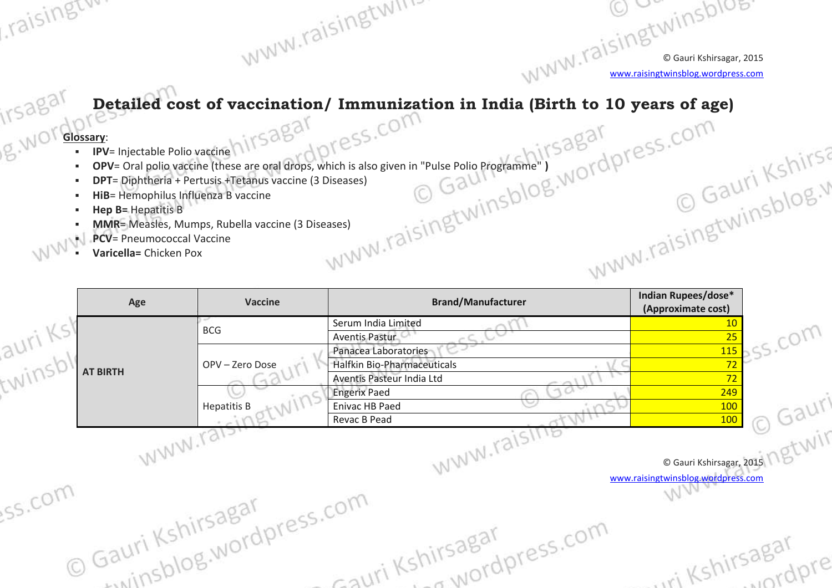© Gauri Kshirsagar, 2015 [www.raisingtwinsblog.wordpress.com](http://www.raisingtwinsblog.wordpress.com/)

Conta King King

## **Detailed cost of vaccination/ Immunization in India (Birth to 10 years of age)**

## **Glossary:**

raisingtw.

irsagar

- **IPV**= Injectable Polio vaccine
- **OPV**= Oral polio vaccine (these are oral drops, which is also given in "Pulse Polio Programme" **)**

www.raisingtwind

- **DPT**= Diphtheria + Pertusis +Tetanus vaccine (3 Diseases)
- **HiB**= Hemophilus Influenza B vaccine
- **Hep B=** Hepatitis B
- **MMR**= Measles, Mumps, Rubella vaccine (3 Diseases)
- **PCV**= Pneumococcal Vaccine
- **Varicella=** Chicken Pox

|               | Age             | <b>Vaccine</b>                           | <b>Brand/Manufacturer</b>                           | Indian Rupees/dose*<br>(Approximate cost)                      |              |
|---------------|-----------------|------------------------------------------|-----------------------------------------------------|----------------------------------------------------------------|--------------|
| auri Ksb      |                 | <b>BCG</b>                               | Serum India Limited<br><b>Aventis Pastur</b>        | 10<br>25                                                       | $-5.0011$    |
|               |                 | OPV-Zero Dose                            | Panacea Laboratories<br>Halfkin Bio-Pharmaceuticals | 115<br>72                                                      |              |
| au.<br>twinsb | <b>AT BIRTH</b> |                                          | Aventis Pasteur India Ltd                           | 72                                                             |              |
|               |                 | <b>Hepatitis B</b>                       | <b>Engerix Paed</b><br><b>Enivac HB Paed</b>        | 249<br>100                                                     | $.0311^{16}$ |
|               |                 |                                          | Revac B Pead                                        | <b>100</b>                                                     |              |
|               | WWW.rais        |                                          | WWW.raising                                         |                                                                | · ngtwir     |
|               |                 |                                          |                                                     | © Gauri Kshirsagar, 2015<br>www.raisingtwinsblog.wordpress.com |              |
| SS.COM        |                 | © Gauri Kshirsagar<br>© Gauri Kshirsagar |                                                     |                                                                |              |
|               |                 |                                          | Fauri Kshirsagar<br>Fauri Kshirsagar                |                                                                |              |
|               |                 |                                          |                                                     | ri Kshirsagar                                                  |              |
|               |                 |                                          |                                                     |                                                                |              |
|               |                 |                                          |                                                     |                                                                |              |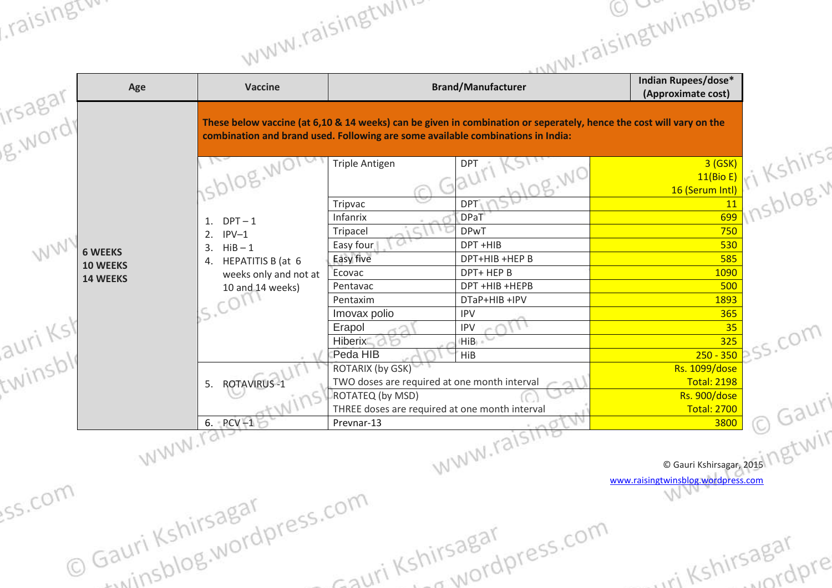| , raising           | Age                               | <b>Vaccine</b>                                                               | WWW.raisinguv.<br><b>Brand/Manufacturer</b>                                                                                                                                                            | unw.raisingtwinsblue<br><b>Indian Rupees/dose*</b><br>(Approximate cost) |           |  |
|---------------------|-----------------------------------|------------------------------------------------------------------------------|--------------------------------------------------------------------------------------------------------------------------------------------------------------------------------------------------------|--------------------------------------------------------------------------|-----------|--|
| irsagar<br>g.word   |                                   |                                                                              | These below vaccine (at 6,10 & 14 weeks) can be given in combination or seperately, hence the cost will vary on the<br>combination and brand used. Following are some available combinations in India: |                                                                          |           |  |
|                     |                                   |                                                                              | <b>Triple Antigen</b><br><b>DPT</b><br>'OR. WO<br>$\sqrt{2}$<br>DPT<br>Tripvac                                                                                                                         | $\frac{11(Bio E)}{11(Bio E)}$ Kshirsa<br>16 (Serum Intl)                 |           |  |
| WWV                 | <b>6 WEEKS</b><br><b>10 WEEKS</b> | $DPT-1$<br>1.<br>$IPV-1$<br>2.<br>$HiB - 1$<br>3.<br>HEPATITIS B (at 6<br>4. | DPaT <sup>®</sup><br>Infanrix<br><b>DPwT</b><br>Tripacel<br>OU.<br>DPT +HIB<br>Easy four<br>Easy five<br>DPT+HIB +HEP B                                                                                | 750<br>530<br>585                                                        |           |  |
|                     | <b>14 WEEKS</b>                   | weeks only and not at<br>10 and 14 weeks)                                    | DPT+ HEP B<br>Ecovac<br>DPT +HIB +HEPB<br>Pentavac<br>DTaP+HIB +IPV<br>Pentaxim<br>Imovax polio<br><b>IPV</b>                                                                                          | 1090<br>500<br>1893<br>365<br>35                                         |           |  |
| auri Ksl<br>twinsbl |                                   |                                                                              | Erapol<br><b>IPV</b><br><b>Hiberix</b><br>(HiB)<br>Peda HIB<br><b>HiB</b><br>ROTARIX (by GSK)                                                                                                          | 325<br>$250 - 350$<br><b>Rs. 1099/dose</b>                               | S. COM    |  |
|                     |                                   | 5. ROTAVIRUS-1<br>6. $PCV-1$                                                 | TWO doses are required at one month interval<br>ROTATEQ (by MSD)<br>THREE doses are required at one month interval<br>Prevnar-13                                                                       | <b>Total: 2198</b><br>Rs. 900/dose<br><b>Total: 2700</b><br>3800         | Gauri     |  |
| ss.com              |                                   | WWW.Tals                                                                     | WWW.raising                                                                                                                                                                                            | G Gauri Kshirsagar, 2015<br>www.raisingtwinsblog.wordpress.com           |           |  |
|                     |                                   | winchlog.wordpress.com<br>O Gauri Kshirsagar                                 | en Communication<br>Sauri Kshirsagar                                                                                                                                                                   | iri Kshirsagar                                                           | in andpre |  |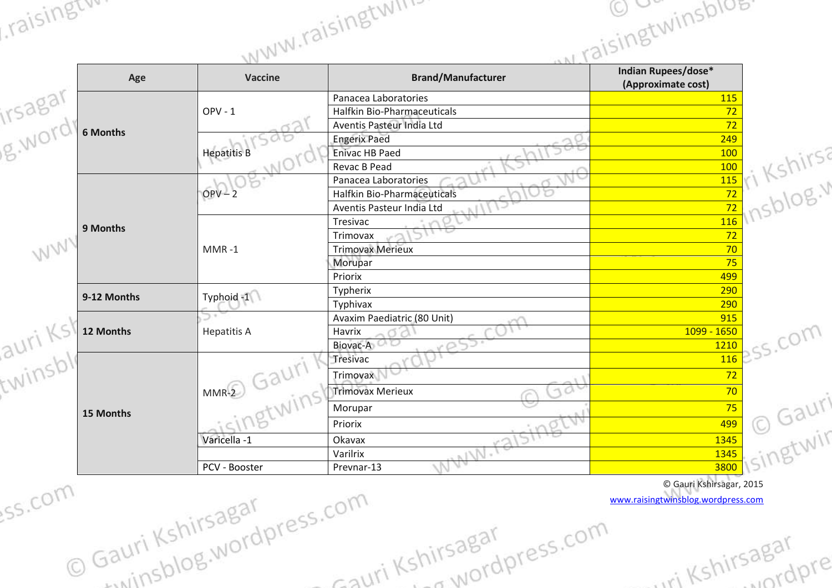| Age             | Vaccine                  | $\sim$ N.I.<br><b>Brand/Manufacturer</b> | <b>Indian Rupees/dose*</b><br>(Approximate cost)               |
|-----------------|--------------------------|------------------------------------------|----------------------------------------------------------------|
|                 |                          | Panacea Laboratories                     | <b>115</b>                                                     |
|                 | $OPV - 1$                | Halfkin Bio-Pharmaceuticals              | 72                                                             |
| <b>6 Months</b> |                          | Aventis Pasteur India Ltd                | 72                                                             |
|                 |                          | <b>Engerix Paed</b>                      | 249                                                            |
|                 | <b>Hepatitis B</b>       | <b>Enivac HB Paed</b>                    |                                                                |
|                 |                          | Revac B Pead                             | 15 ri Kshirsi                                                  |
|                 |                          | Panacea Laboratories                     |                                                                |
|                 | $OPV - 2$                | <b>Halfkin Bio-Pharmaceuticals</b>       |                                                                |
|                 |                          | Aventis Pasteur India Ltd                |                                                                |
| 9 Months        |                          | Tresivac                                 | 116                                                            |
|                 |                          | Trimovax                                 | 72                                                             |
| WW              | $MMR - 1$                | <b>Trimovax Merieux</b>                  | 70                                                             |
|                 |                          | Morupar                                  | 75                                                             |
|                 |                          | Priorix                                  | 499                                                            |
| 9-12 Months     | Typhoid -1               | Typherix                                 | 290                                                            |
|                 |                          | Typhivax                                 | 290                                                            |
|                 |                          | Avaxim Paediatric (80 Unit)              | 915                                                            |
| 12 Months       | <b>Hepatitis A</b>       | Havrix                                   | 1099 - 1650                                                    |
| auri Ks.        |                          | Biovac-A                                 | 1210                                                           |
|                 | Gauri<br>$MMR-2$<br>Wins | Tresivac                                 | 116                                                            |
|                 |                          | Trimovax                                 | 72                                                             |
| twinsbl         |                          | <b>Trimovax Merieux</b><br>10            | 70                                                             |
| 15 Months       |                          | Morupar                                  |                                                                |
|                 |                          | Priorix                                  | 1345 Singtwin                                                  |
|                 | Varicella -1             | Okavax                                   |                                                                |
|                 |                          | Varilrix                                 |                                                                |
|                 | PCV - Booster            | Prevnar-13                               |                                                                |
| ss.com          | COM<br>hirsagal          |                                          | © Gauri Kshirsagar, 2015<br>www.raisingtwinsblog.wordpress.com |

Cauri Kshirsagar

shirsagar<br>Shirsagar<br>La Wordpress.com

Gauri Kshirsagar<br>Gauri Kshirsagar<br>Gauri Kshirsagar

m<br>© Gauri Kshirsagar

raisingtw.

iri Kshirsagar

irsagai<br>wordpre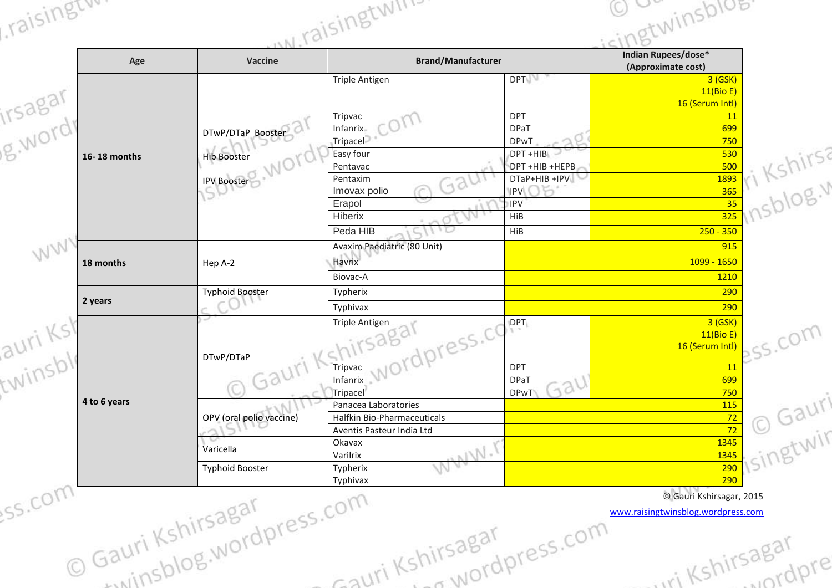| , raising         |                                                          | <u>INJ.raisinguw</u>                                                             |                                                   | cingtwinsblos.                                                 |
|-------------------|----------------------------------------------------------|----------------------------------------------------------------------------------|---------------------------------------------------|----------------------------------------------------------------|
| Age               | <b>Vaccine</b>                                           | <b>Brand/Manufacturer</b>                                                        |                                                   | <b>Indian Rupees/dose*</b><br>(Approximate cost)               |
|                   |                                                          | <b>Triple Antigen</b>                                                            | <b>DPT</b>                                        | 3 (GSK)<br>11(Bio E)<br>16 (Serum Intl)                        |
| irsagar<br>g.word | DTwP/DTaP Booster                                        | Tripvac<br>Infanrix<br>Tripacel                                                  | <b>DPT</b><br><b>DPaT</b><br><b>DPwT</b>          | 11<br>699<br>750                                               |
| 16-18 months      | <b>Hib Booster</b>                                       | Easy four<br>Pentavac                                                            | DPT +HIB<br>DPT +HIB +HEPB                        | 7Irs2<br>530                                                   |
|                   | <b>IPV Booster</b>                                       | Pentaxim<br>Imovax polio<br>Erapol                                               | DTaP+HIB +IPV<br><b>IPV</b><br><b>IPV</b>         | <b>BELL</b> KSTILLS<br>1893                                    |
|                   |                                                          | Hiberix<br>Peda HIB                                                              | HiB<br>HiB                                        | $250 - 350$                                                    |
| WW<br>18 months   | Hep A-2                                                  | Avaxim Paediatric (80 Unit)<br>Havrix<br>Biovac-A                                |                                                   | 915<br>1099 - 1650<br>1210                                     |
| 2 years           | <b>Typhoid Booster</b>                                   | Typherix<br>Typhivax                                                             |                                                   | 290<br>290                                                     |
| auri Ks<br>twinsb | DTwP/DTaP                                                | Triple Antigen<br>sagal<br>press.co                                              | $\mathsf{DPT}$                                    | 3 (GSK)<br>11(Bio E)<br>16 (Serum Intl)                        |
|                   | Gauri                                                    | Tripvac<br>ЛA<br>Infanrix<br>Tripacel                                            | <b>DPT</b><br><b>DPaT</b><br>11 CA<br><b>DPwT</b> | 11<br>699<br>750                                               |
|                   | 4 to 6 years<br>OPV (oral polio vaccine)<br>Varicella    | Panacea Laboratories<br>Halfkin Bio-Pharmaceuticals<br>Aventis Pasteur India Ltd |                                                   | $\bullet$ Gauri<br><b>115</b><br>72<br>72                      |
|                   |                                                          | Okavax<br>WWW.1<br>Varilrix                                                      |                                                   | <b>Y</b> isingtwir<br>1345<br>1345                             |
|                   | <b>Typhoid Booster</b>                                   | Typherix                                                                         |                                                   | 290<br>290                                                     |
| ss.com            |                                                          |                                                                                  |                                                   | © Gauri Kshirsagar, 2015<br>www.raisingtwinsblog.wordpress.com |
|                   | Gauri Kshirsagar<br>Gauri Kshirsagar<br>Cauri Kshirsagar | -auri Kshirsagar                                                                 |                                                   | ri Kshirsagar                                                  |